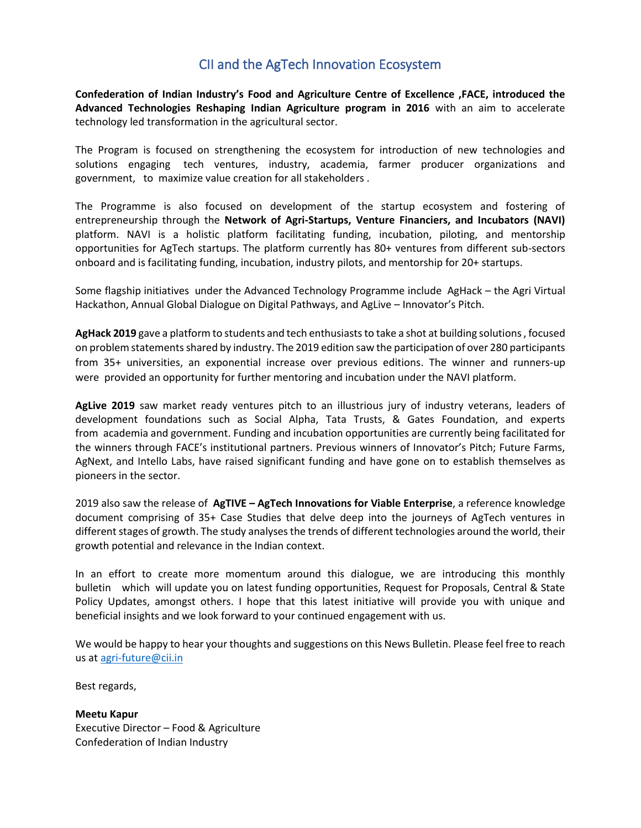# CII and the AgTech Innovation Ecosystem

**Confederation of Indian Industry's Food and Agriculture Centre of Excellence ,FACE, introduced the Advanced Technologies Reshaping Indian Agriculture program in 2016** with an aim to accelerate technology led transformation in the agricultural sector.

The Program is focused on strengthening the ecosystem for introduction of new technologies and solutions engaging tech ventures, industry, academia, farmer producer organizations and government, to maximize value creation for all stakeholders .

The Programme is also focused on development of the startup ecosystem and fostering of entrepreneurship through the **Network of Agri-Startups, Venture Financiers, and Incubators (NAVI)** platform. NAVI is a holistic platform facilitating funding, incubation, piloting, and mentorship opportunities for AgTech startups. The platform currently has 80+ ventures from different sub-sectors onboard and is facilitating funding, incubation, industry pilots, and mentorship for 20+ startups.

Some flagship initiatives under the Advanced Technology Programme include AgHack – the Agri Virtual Hackathon, Annual Global Dialogue on Digital Pathways, and AgLive – Innovator's Pitch.

**AgHack 2019** gave a platform to students and tech enthusiasts to take a shot at building solutions , focused on problem statements shared by industry. The 2019 edition saw the participation of over 280 participants from 35+ universities, an exponential increase over previous editions. The winner and runners-up were provided an opportunity for further mentoring and incubation under the NAVI platform.

**AgLive 2019** saw market ready ventures pitch to an illustrious jury of industry veterans, leaders of development foundations such as Social Alpha, Tata Trusts, & Gates Foundation, and experts from academia and government. Funding and incubation opportunities are currently being facilitated for the winners through FACE's institutional partners. Previous winners of Innovator's Pitch; Future Farms, AgNext, and Intello Labs, have raised significant funding and have gone on to establish themselves as pioneers in the sector.

2019 also saw the release of **AgTIVE – AgTech Innovations for Viable Enterprise**, a reference knowledge document comprising of 35+ Case Studies that delve deep into the journeys of AgTech ventures in different stages of growth. The study analyses the trends of different technologies around the world, their growth potential and relevance in the Indian context.

In an effort to create more momentum around this dialogue, we are introducing this monthly bulletin which will update you on latest funding opportunities, Request for Proposals, Central & State Policy Updates, amongst others. I hope that this latest initiative will provide you with unique and beneficial insights and we look forward to your continued engagement with us.

We would be happy to hear your thoughts and suggestions on this News Bulletin. Please feel free to reach us at [agri-future@cii.in](mailto:agri-future@cii.in)

Best regards,

**Meetu Kapur** Executive Director – Food & Agriculture Confederation of Indian Industry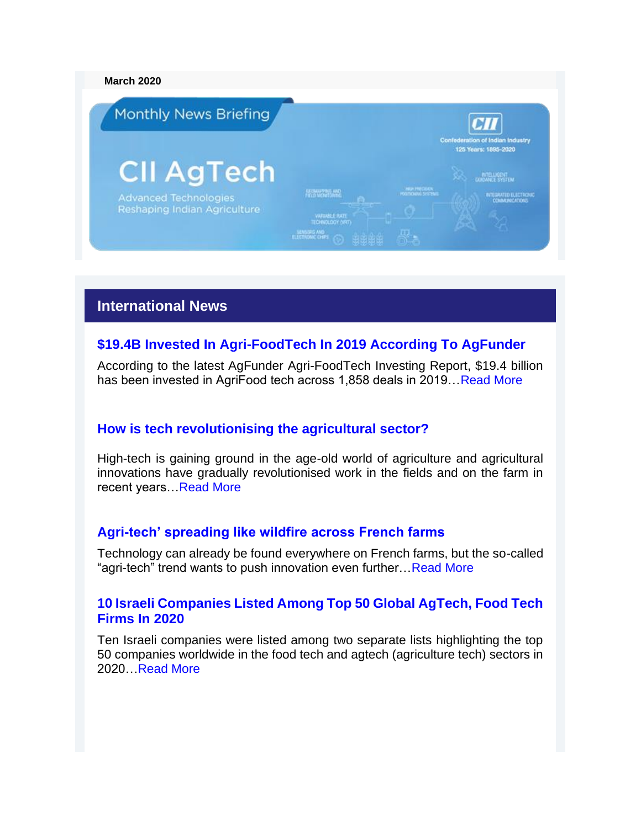#### **March 2020**



# **International News**

# **[\\$19.4B Invested In Agri-FoodTech In 2019 According To AgFunder](https://news.crunchbase.com/news/19-4b-invested-in-agri-foodtech-in-2019-according-to-agfunder/)**

According to the latest AgFunder Agri-FoodTech Investing Report, \$19.4 billion has been invested in AgriFood tech across 1,858 deals in 2019[…Read More](https://news.crunchbase.com/news/19-4b-invested-in-agri-foodtech-in-2019-according-to-agfunder/)

### **[How is tech revolutionising the agricultural sector?](https://www.euractiv.com/section/agriculture-food/special_report/sr-agri-24-feb-how-is-tech-revolutionising-the-agricultural-sector/)**

High-tech is gaining ground in the age-old world of agriculture and agricultural innovations have gradually revolutionised work in the fields and on the farm in recent years[…Read More](https://www.euractiv.com/section/agriculture-food/special_report/sr-agri-24-feb-how-is-tech-revolutionising-the-agricultural-sector/)

### **[Agri-tech' spreading like wildfire across French farms](https://www.euractiv.com/section/agriculture-food/news/agri-tech-spreading-like-wildfire-across-french-farms/)**

Technology can already be found everywhere on French farms, but the so-called "agri-tech" trend wants to push innovation even further[…Read More](https://www.euractiv.com/section/agriculture-food/news/agri-tech-spreading-like-wildfire-across-french-farms/)

### **[10 Israeli Companies Listed Among Top 50 Global AgTech, Food Tech](http://nocamels.com/2020/02/10-israeli-companies-top-50-agtech-foodtech/)  [Firms In 2020](http://nocamels.com/2020/02/10-israeli-companies-top-50-agtech-foodtech/)**

Ten Israeli companies were listed among two separate lists highlighting the top 50 companies worldwide in the food tech and agtech (agriculture tech) sectors in 2020[…Read More](http://nocamels.com/2020/02/10-israeli-companies-top-50-agtech-foodtech/)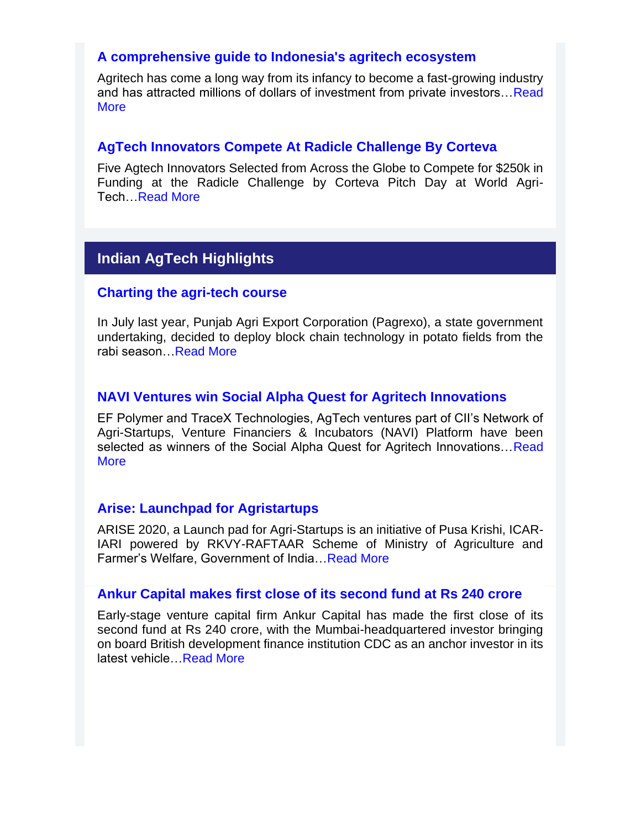### **[A comprehensive guide to Indonesia's agritech ecosystem](https://e27.co/a-comprehensive-guide-to-indonesias-agritech-ecosystem-20200224/)**

Agritech has come a long way from its infancy to become a fast-growing industry and has attracted millions of dollars of investment from private investors... Read **[More](https://e27.co/a-comprehensive-guide-to-indonesias-agritech-ecosystem-20200224/)** 

### **[AgTech Innovators Compete At Radicle Challenge By Corteva](https://californiaagtoday.com/agtech-innovation-continue-advancement/)**

Five Agtech Innovators Selected from Across the Globe to Compete for \$250k in Funding at the Radicle Challenge by Corteva Pitch Day at World Agri-Tech[…Read More](https://californiaagtoday.com/agtech-innovation-continue-advancement/)

# **Indian AgTech Highlights**

### **[Charting the agri-tech course](https://www.tribuneindia.com/news/charting-the-agri-tech-course-46530)**

In July last year, Punjab Agri Export Corporation (Pagrexo), a state government undertaking, decided to deploy block chain technology in potato fields from the rabi season[…Read More](https://www.tribuneindia.com/news/charting-the-agri-tech-course-46530)

### **[NAVI Ventures win Social Alpha Quest for Agritech Innovations](http://ciiagtech.com/CII-AgTech-News-Bulletin-March-2020/AgTech-Newsletter-NAVI-news.pdf)**

EF Polymer and TraceX Technologies, AgTech ventures part of CII's Network of Agri-Startups, Venture Financiers & Incubators (NAVI) Platform have been selected as winners of the Social Alpha Quest for Agritech Innovations... Read **[More](http://ciiagtech.com/CII-AgTech-News-Bulletin-March-2020/AgTech-Newsletter-NAVI-news.pdf)** 

### **[Arise: Launchpad for Agristartups](http://pusakrishi.iari.res.in/pusa/)**

ARISE 2020, a Launch pad for Agri-Startups is an initiative of Pusa Krishi, ICAR-IARI powered by RKVY-RAFTAAR Scheme of Ministry of Agriculture and Farmer's Welfare, Government of India[…Read More](http://pusakrishi.iari.res.in/pusa/)

### **[Ankur Capital makes first close of its second fund at Rs 240 crore](https://tech.economictimes.indiatimes.com/news/startups/ankur-capital-closes-second-fund-at-rs-240-crore/73217480)**

Early-stage venture capital firm Ankur Capital has made the first close of its second fund at Rs 240 crore, with the Mumbai-headquartered investor bringing on board British development finance institution CDC as an anchor investor in its latest vehicle[…Read More](https://tech.economictimes.indiatimes.com/news/startups/ankur-capital-closes-second-fund-at-rs-240-crore/73217480)